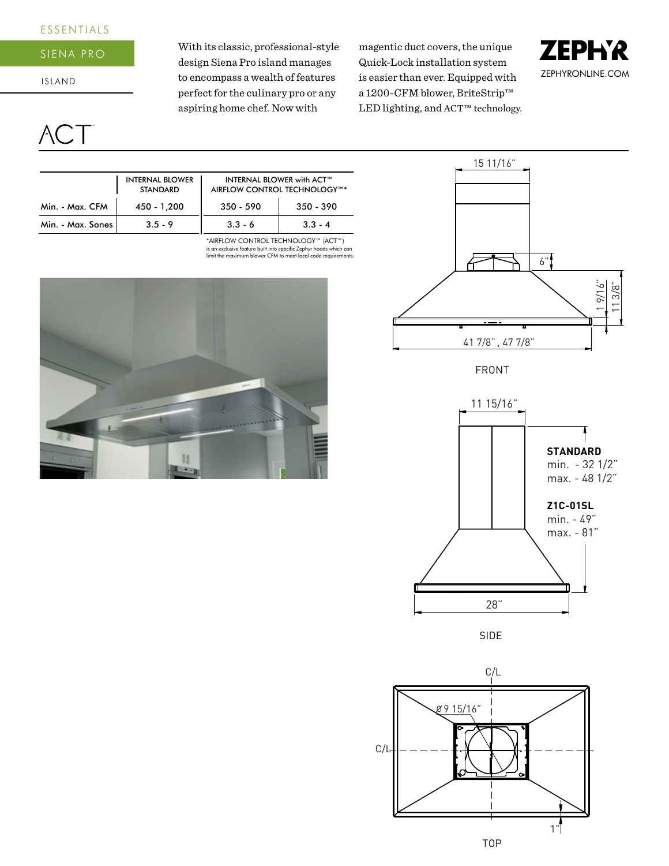## ESSENTIALS

#### Siena pro

I SLAND

# $\mathcal{A}$ C.

With its classic, professional-style design Siena Pro island manages to encompass a wealth of features perfect for the culinary pro or any aspiring home chef. Now with

magentic duct covers, the unique Quick-Lock installation system is easier than ever. Equipped with a 1200-CFM blower, BriteStrip™ LED lighting, and ACT™ technology.





FRONT



SIDE



|                   | <b>INTERNAL BLOWER</b><br><b>STANDARD</b> |             | <b>INTERNAL BLOWER with ACT™</b><br>AIRFLOW CONTROL TECHNOLOGY™* |  |  |  |
|-------------------|-------------------------------------------|-------------|------------------------------------------------------------------|--|--|--|
| Min. - Max. CFM   | 450 - 1,200                               | $350 - 590$ | $350 - 390$                                                      |  |  |  |
| Min. - Max. Sones | $3.5 - 9$                                 | $3.3 - 6$   | $3.3 - 4$                                                        |  |  |  |

is an exclusive feature built into specific Zephyr hoods which can limit the maximum blower CFM to meet local code requirements. \*AIRFLOW CONTROL TECHNOLOGY™ (ACT™)